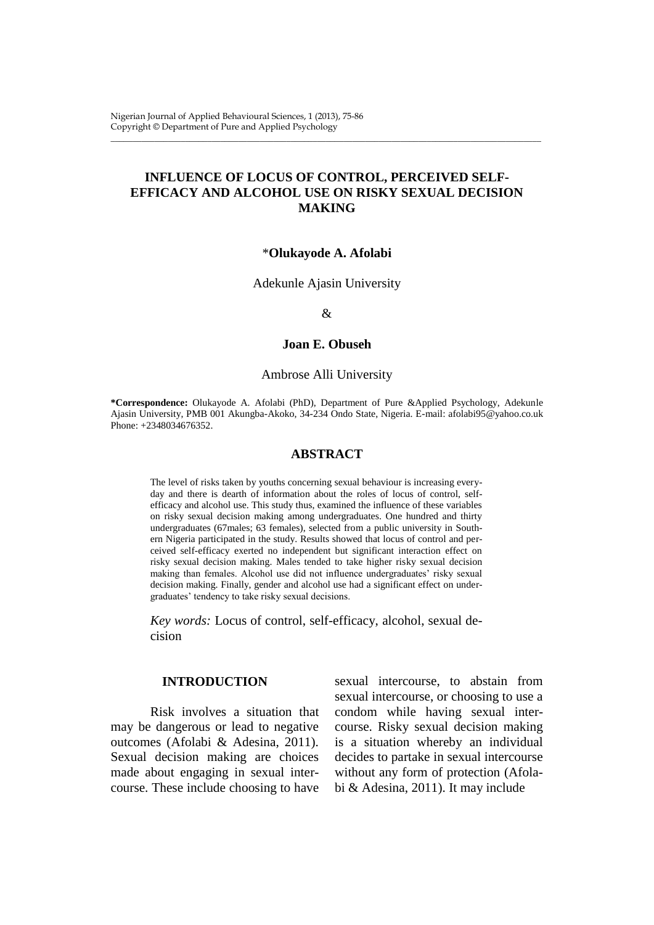Nigerian Journal of Applied Behavioural Sciences, 1 (2013), 75-86 Copyright © Department of Pure and Applied Psychology

# **INFLUENCE OF LOCUS OF CONTROL, PERCEIVED SELF-EFFICACY AND ALCOHOL USE ON RISKY SEXUAL DECISION MAKING**

\_\_\_\_\_\_\_\_\_\_\_\_\_\_\_\_\_\_\_\_\_\_\_\_\_\_\_\_\_\_\_\_\_\_\_\_\_\_\_\_\_\_\_\_\_\_\_\_\_\_\_\_\_\_\_\_\_\_\_\_\_\_\_\_\_\_\_\_\_\_\_\_\_\_\_\_\_\_\_\_\_\_\_\_\_\_\_\_\_\_\_\_\_\_\_\_\_\_

#### \***Olukayode A. Afolabi**

Adekunle Ajasin University

#### &

### **Joan E. Obuseh**

#### Ambrose Alli University

**\*Correspondence:** Olukayode A. Afolabi (PhD), Department of Pure &Applied Psychology, Adekunle Ajasin University, PMB 001 Akungba-Akoko, 34-234 Ondo State, Nigeria. E-mail: afolabi95@yahoo.co.uk Phone: +2348034676352.

#### **ABSTRACT**

The level of risks taken by youths concerning sexual behaviour is increasing everyday and there is dearth of information about the roles of locus of control, selfefficacy and alcohol use. This study thus, examined the influence of these variables on risky sexual decision making among undergraduates. One hundred and thirty undergraduates (67males; 63 females), selected from a public university in Southern Nigeria participated in the study. Results showed that locus of control and perceived self-efficacy exerted no independent but significant interaction effect on risky sexual decision making. Males tended to take higher risky sexual decision making than females. Alcohol use did not influence undergraduates' risky sexual decision making. Finally, gender and alcohol use had a significant effect on undergraduates' tendency to take risky sexual decisions.

*Key words:* Locus of control, self-efficacy, alcohol, sexual decision

# **INTRODUCTION**

Risk involves a situation that may be dangerous or lead to negative outcomes (Afolabi & Adesina, 2011). Sexual decision making are choices made about engaging in sexual intercourse. These include choosing to have

sexual intercourse, to abstain from sexual intercourse, or choosing to use a condom while having sexual intercourse. Risky sexual decision making is a situation whereby an individual decides to partake in sexual intercourse without any form of protection (Afolabi & Adesina, 2011). It may include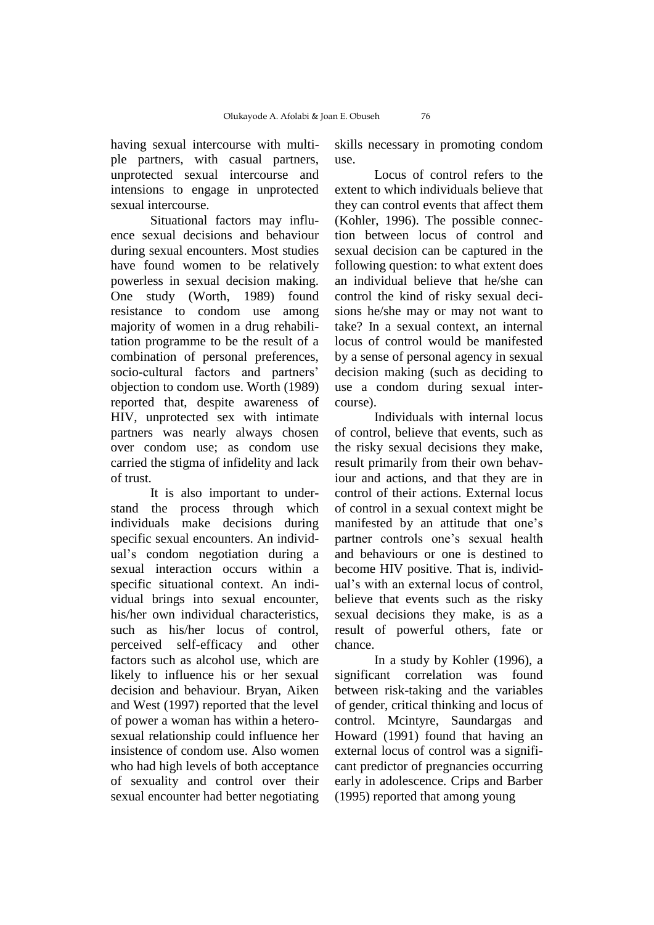having sexual intercourse with multiple partners, with casual partners, unprotected sexual intercourse and intensions to engage in unprotected sexual intercourse.

Situational factors may influence sexual decisions and behaviour during sexual encounters. Most studies have found women to be relatively powerless in sexual decision making. One study (Worth, 1989) found resistance to condom use among majority of women in a drug rehabilitation programme to be the result of a combination of personal preferences, socio-cultural factors and partners' objection to condom use. Worth (1989) reported that, despite awareness of HIV, unprotected sex with intimate partners was nearly always chosen over condom use; as condom use carried the stigma of infidelity and lack of trust.

It is also important to understand the process through which individuals make decisions during specific sexual encounters. An individual's condom negotiation during a sexual interaction occurs within a specific situational context. An individual brings into sexual encounter, his/her own individual characteristics, such as his/her locus of control, perceived self-efficacy and other factors such as alcohol use, which are likely to influence his or her sexual decision and behaviour. Bryan, Aiken and West (1997) reported that the level of power a woman has within a heterosexual relationship could influence her insistence of condom use. Also women who had high levels of both acceptance of sexuality and control over their sexual encounter had better negotiating

skills necessary in promoting condom use.

Locus of control refers to the extent to which individuals believe that they can control events that affect them (Kohler, 1996). The possible connection between locus of control and sexual decision can be captured in the following question: to what extent does an individual believe that he/she can control the kind of risky sexual decisions he/she may or may not want to take? In a sexual context, an internal locus of control would be manifested by a sense of personal agency in sexual decision making (such as deciding to use a condom during sexual intercourse).

Individuals with internal locus of control, believe that events, such as the risky sexual decisions they make, result primarily from their own behaviour and actions, and that they are in control of their actions. External locus of control in a sexual context might be manifested by an attitude that one's partner controls one's sexual health and behaviours or one is destined to become HIV positive. That is, individual's with an external locus of control, believe that events such as the risky sexual decisions they make, is as a result of powerful others, fate or chance.

In a study by Kohler (1996), a significant correlation was found between risk-taking and the variables of gender, critical thinking and locus of control. Mcintyre, Saundargas and Howard (1991) found that having an external locus of control was a significant predictor of pregnancies occurring early in adolescence. Crips and Barber (1995) reported that among young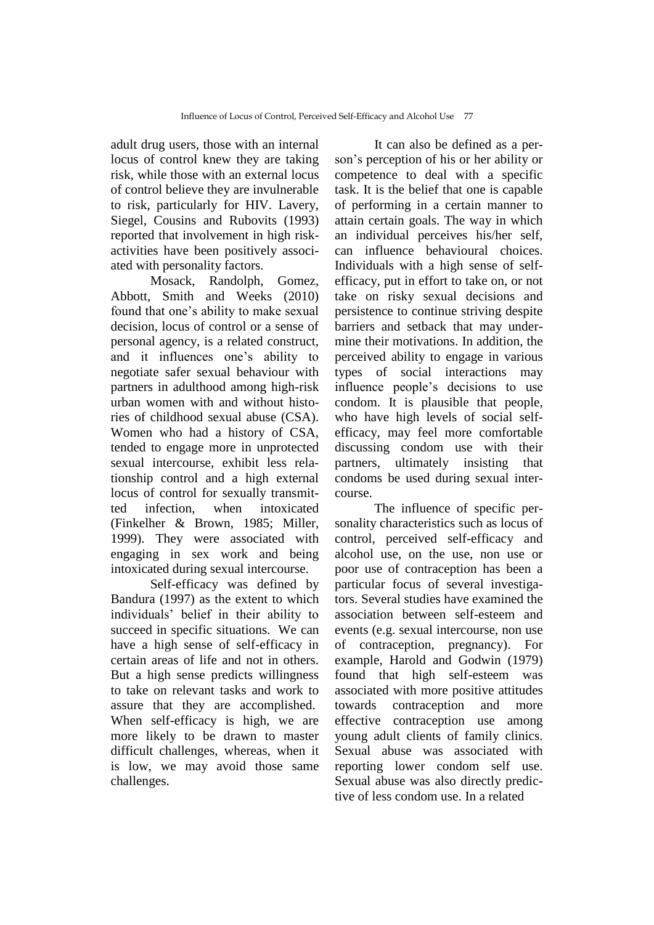adult drug users, those with an internal locus of control knew they are taking risk, while those with an external locus of control believe they are invulnerable to risk, particularly for HIV. Lavery, Siegel, Cousins and Rubovits (1993) reported that involvement in high riskactivities have been positively associated with personality factors.

Mosack, Randolph, Gomez, Abbott, Smith and Weeks (2010) found that one's ability to make sexual decision, locus of control or a sense of personal agency, is a related construct, and it influences one's ability to negotiate safer sexual behaviour with partners in adulthood among high-risk urban women with and without histories of childhood sexual abuse (CSA). Women who had a history of CSA, tended to engage more in unprotected sexual intercourse, exhibit less relationship control and a high external locus of control for sexually transmitted infection, when intoxicated (Finkelher & Brown, 1985; Miller, 1999). They were associated with engaging in sex work and being intoxicated during sexual intercourse.

Self-efficacy was defined by Bandura (1997) as the extent to which individuals' belief in their ability to succeed in specific situations. We can have a high sense of self-efficacy in certain areas of life and not in others. But a high sense predicts willingness to take on relevant tasks and work to assure that they are accomplished. When self-efficacy is high, we are more likely to be drawn to master difficult challenges, whereas, when it is low, we may avoid those same challenges.

It can also be defined as a person's perception of his or her ability or competence to deal with a specific task. It is the belief that one is capable of performing in a certain manner to attain certain goals. The way in which an individual perceives his/her self, can influence behavioural choices. Individuals with a high sense of selfefficacy, put in effort to take on, or not take on risky sexual decisions and persistence to continue striving despite barriers and setback that may undermine their motivations. In addition, the perceived ability to engage in various types of social interactions may influence people's decisions to use condom. It is plausible that people, who have high levels of social selfefficacy, may feel more comfortable discussing condom use with their partners, ultimately insisting that condoms be used during sexual intercourse.

The influence of specific personality characteristics such as locus of control, perceived self-efficacy and alcohol use, on the use, non use or poor use of contraception has been a particular focus of several investigators. Several studies have examined the association between self-esteem and events (e.g. sexual intercourse, non use of contraception, pregnancy). For example, Harold and Godwin (1979) found that high self-esteem was associated with more positive attitudes towards contraception and more effective contraception use among young adult clients of family clinics. Sexual abuse was associated with reporting lower condom self use. Sexual abuse was also directly predictive of less condom use. In a related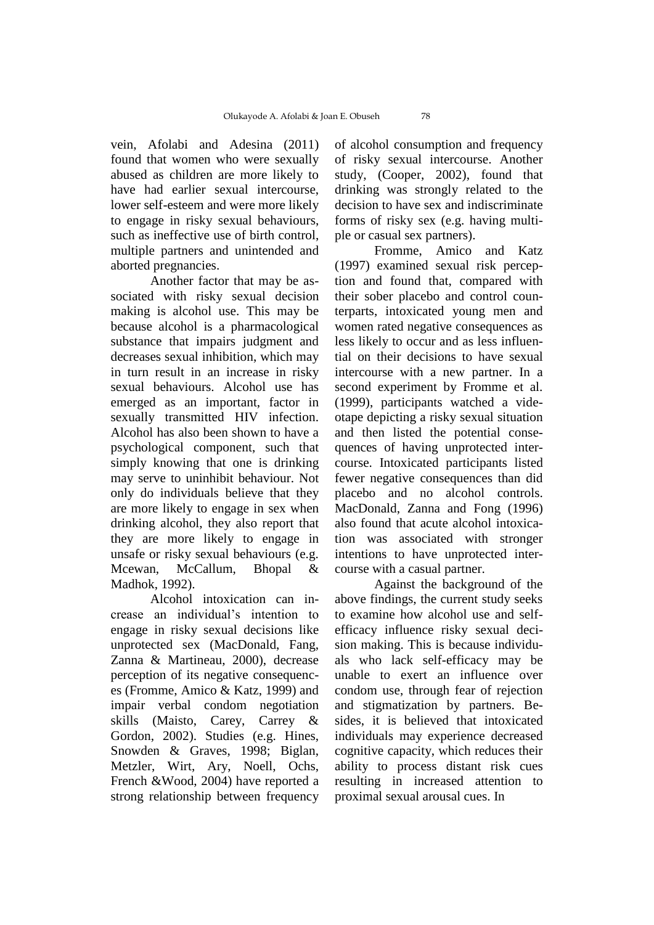vein, Afolabi and Adesina (2011) found that women who were sexually abused as children are more likely to have had earlier sexual intercourse, lower self-esteem and were more likely to engage in risky sexual behaviours, such as ineffective use of birth control, multiple partners and unintended and aborted pregnancies.

Another factor that may be associated with risky sexual decision making is alcohol use. This may be because alcohol is a pharmacological substance that impairs judgment and decreases sexual inhibition, which may in turn result in an increase in risky sexual behaviours. Alcohol use has emerged as an important, factor in sexually transmitted HIV infection. Alcohol has also been shown to have a psychological component, such that simply knowing that one is drinking may serve to uninhibit behaviour. Not only do individuals believe that they are more likely to engage in sex when drinking alcohol, they also report that they are more likely to engage in unsafe or risky sexual behaviours (e.g. Mcewan, McCallum, Bhopal & Madhok, 1992).

Alcohol intoxication can increase an individual's intention to engage in risky sexual decisions like unprotected sex (MacDonald, Fang, Zanna & Martineau, 2000), decrease perception of its negative consequences (Fromme, Amico & Katz, 1999) and impair verbal condom negotiation skills (Maisto, Carey, Carrey & Gordon, 2002). Studies (e.g. Hines, Snowden & Graves, 1998; Biglan, Metzler, Wirt, Ary, Noell, Ochs, French &Wood, 2004) have reported a strong relationship between frequency of alcohol consumption and frequency of risky sexual intercourse. Another study, (Cooper, 2002), found that drinking was strongly related to the decision to have sex and indiscriminate forms of risky sex (e.g. having multiple or casual sex partners).

Fromme, Amico and Katz (1997) examined sexual risk perception and found that, compared with their sober placebo and control counterparts, intoxicated young men and women rated negative consequences as less likely to occur and as less influential on their decisions to have sexual intercourse with a new partner. In a second experiment by Fromme et al. (1999), participants watched a videotape depicting a risky sexual situation and then listed the potential consequences of having unprotected intercourse. Intoxicated participants listed fewer negative consequences than did placebo and no alcohol controls. MacDonald, Zanna and Fong (1996) also found that acute alcohol intoxication was associated with stronger intentions to have unprotected intercourse with a casual partner.

Against the background of the above findings, the current study seeks to examine how alcohol use and selfefficacy influence risky sexual decision making. This is because individuals who lack self-efficacy may be unable to exert an influence over condom use, through fear of rejection and stigmatization by partners. Besides, it is believed that intoxicated individuals may experience decreased cognitive capacity, which reduces their ability to process distant risk cues resulting in increased attention to proximal sexual arousal cues. In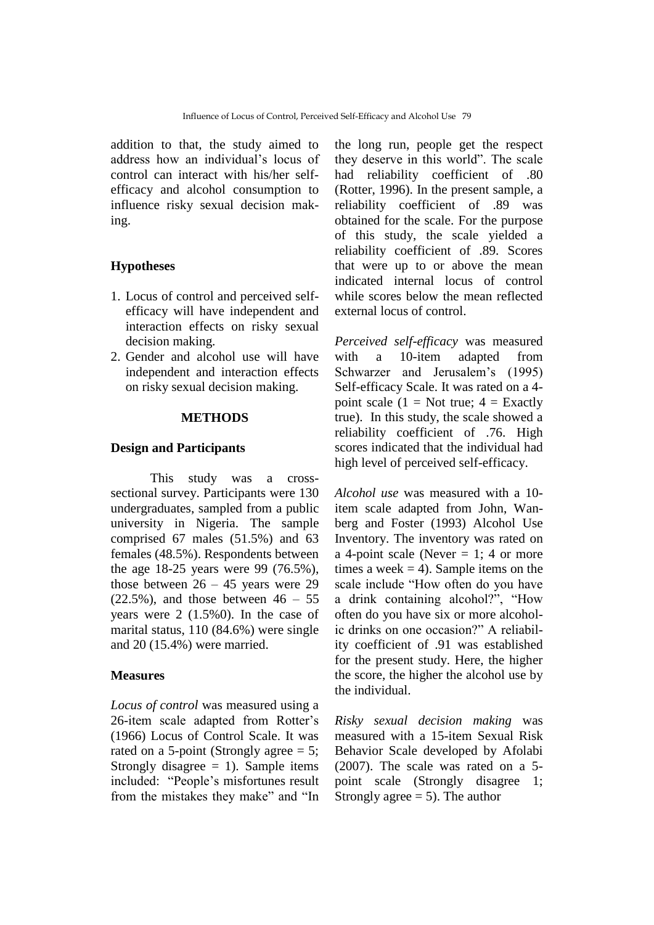addition to that, the study aimed to address how an individual's locus of control can interact with his/her selfefficacy and alcohol consumption to influence risky sexual decision making.

# **Hypotheses**

- 1. Locus of control and perceived selfefficacy will have independent and interaction effects on risky sexual decision making.
- 2. Gender and alcohol use will have independent and interaction effects on risky sexual decision making.

# **METHODS**

## **Design and Participants**

This study was a crosssectional survey. Participants were 130 undergraduates, sampled from a public university in Nigeria. The sample comprised 67 males (51.5%) and 63 females (48.5%). Respondents between the age 18-25 years were 99 (76.5%), those between  $26 - 45$  years were 29  $(22.5\%)$ , and those between  $46 - 55$ years were 2 (1.5%0). In the case of marital status, 110 (84.6%) were single and 20 (15.4%) were married.

### **Measures**

*Locus of control* was measured using a 26-item scale adapted from Rotter's (1966) Locus of Control Scale. It was rated on a 5-point (Strongly agree  $= 5$ ; Strongly disagree  $= 1$ ). Sample items included: "People's misfortunes result from the mistakes they make" and "In

the long run, people get the respect they deserve in this world". The scale had reliability coefficient of .80 (Rotter, 1996). In the present sample, a reliability coefficient of .89 was obtained for the scale. For the purpose of this study, the scale yielded a reliability coefficient of .89. Scores that were up to or above the mean indicated internal locus of control while scores below the mean reflected external locus of control.

*Perceived self-efficacy* was measured with a 10-item adapted from Schwarzer and Jerusalem's (1995) Self-efficacy Scale. It was rated on a 4 point scale (1 = Not true;  $4 =$  Exactly true). In this study, the scale showed a reliability coefficient of .76. High scores indicated that the individual had high level of perceived self-efficacy.

*Alcohol use* was measured with a 10 item scale adapted from John, Wanberg and Foster (1993) Alcohol Use Inventory. The inventory was rated on a 4-point scale (Never  $= 1$ ; 4 or more times a week  $= 4$ ). Sample items on the scale include "How often do you have a drink containing alcohol?", "How often do you have six or more alcoholic drinks on one occasion?" A reliability coefficient of .91 was established for the present study. Here, the higher the score, the higher the alcohol use by the individual.

*Risky sexual decision making* was measured with a 15-item Sexual Risk Behavior Scale developed by Afolabi (2007). The scale was rated on a 5 point scale (Strongly disagree 1; Strongly agree  $= 5$ ). The author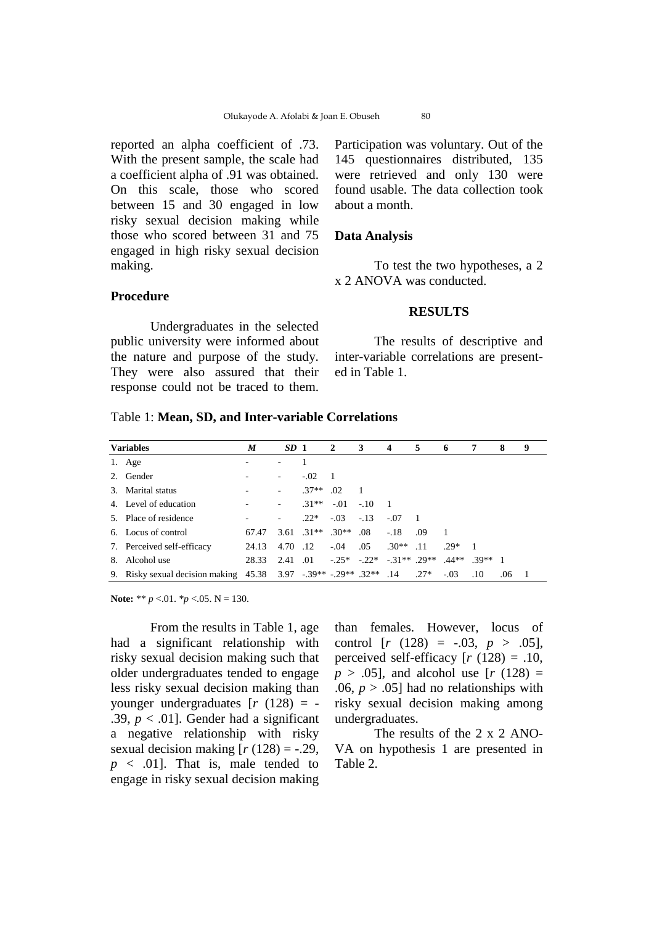reported an alpha coefficient of .73. With the present sample, the scale had a coefficient alpha of .91 was obtained. On this scale, those who scored between 15 and 30 engaged in low risky sexual decision making while those who scored between 31 and 75 engaged in high risky sexual decision making.

# **Procedure**

Undergraduates in the selected public university were informed about the nature and purpose of the study. They were also assured that their response could not be traced to them.

Participation was voluntary. Out of the 145 questionnaires distributed, 135 were retrieved and only 130 were found usable. The data collection took about a month.

## **Data Analysis**

To test the two hypotheses, a 2 x 2 ANOVA was conducted.

#### **RESULTS**

The results of descriptive and inter-variable correlations are presented in Table 1.

#### Table 1: **Mean, SD, and Inter-variable Correlations**

| <b>Variables</b> |                                                                           | M     | $SD_1$                   |                              | $\overline{2}$ | 3      | $\overline{4}$                                                       | 5   | -6     | 7             | 8   | 9 |
|------------------|---------------------------------------------------------------------------|-------|--------------------------|------------------------------|----------------|--------|----------------------------------------------------------------------|-----|--------|---------------|-----|---|
|                  | 1. Age                                                                    |       |                          |                              |                |        |                                                                      |     |        |               |     |   |
|                  | 2. Gender                                                                 |       | $\overline{\phantom{0}}$ | $-.02$                       | $\blacksquare$ |        |                                                                      |     |        |               |     |   |
|                  | 3. Marital status                                                         |       | $\overline{\phantom{a}}$ | $.37**$                      | .02            |        |                                                                      |     |        |               |     |   |
|                  | 4. Level of education                                                     |       | $\overline{\phantom{a}}$ | $.31**$                      | $-.01-.10$     |        | $\overline{\phantom{0}}$                                             |     |        |               |     |   |
|                  | 5. Place of residence                                                     |       | $\overline{\phantom{a}}$ | $.22*$                       | $-.03$         | $-.13$ | $-.07$                                                               |     |        |               |     |   |
|                  | 6. Locus of control                                                       | 67.47 |                          | $3.61 \quad 31** \quad 30**$ |                | .08    | $-.18$                                                               | .09 |        |               |     |   |
|                  | 7. Perceived self-efficacy                                                | 24.13 | 4.70 .12                 |                              | $-.04$         | .05    | $.30**$                                                              | .11 | $29*$  |               |     |   |
|                  | 8. Alcohol use                                                            | 28.33 |                          |                              |                |        | $2.41 \quad 01 \quad -25^* \quad -22^* \quad -31^{**} \quad 29^{**}$ |     |        | $44**$ 39** 1 |     |   |
|                  | 9. Risky sexual decision making $45.38$ 3.97 -.39** -.29** .32** .14 .27* |       |                          |                              |                |        |                                                                      |     | $-.03$ | .10           | .06 |   |

**Note:** \*\*  $p < 01$ . \* $p < 05$ . N = 130.

From the results in Table 1, age had a significant relationship with risky sexual decision making such that older undergraduates tended to engage less risky sexual decision making than younger undergraduates [*r* (128) = - .39,  $p < .01$ ]. Gender had a significant a negative relationship with risky sexual decision making  $[r (128) = -.29]$ ,  $p \leq .01$ ]. That is, male tended to engage in risky sexual decision making

than females. However, locus of control  $[r (128) = -.03, p > .05]$ , perceived self-efficacy  $[r (128) = .10]$ , *p* > .05], and alcohol use [*r* (128) = .06,  $p > .05$ ] had no relationships with risky sexual decision making among undergraduates.

The results of the 2 x 2 ANO-VA on hypothesis 1 are presented in Table 2.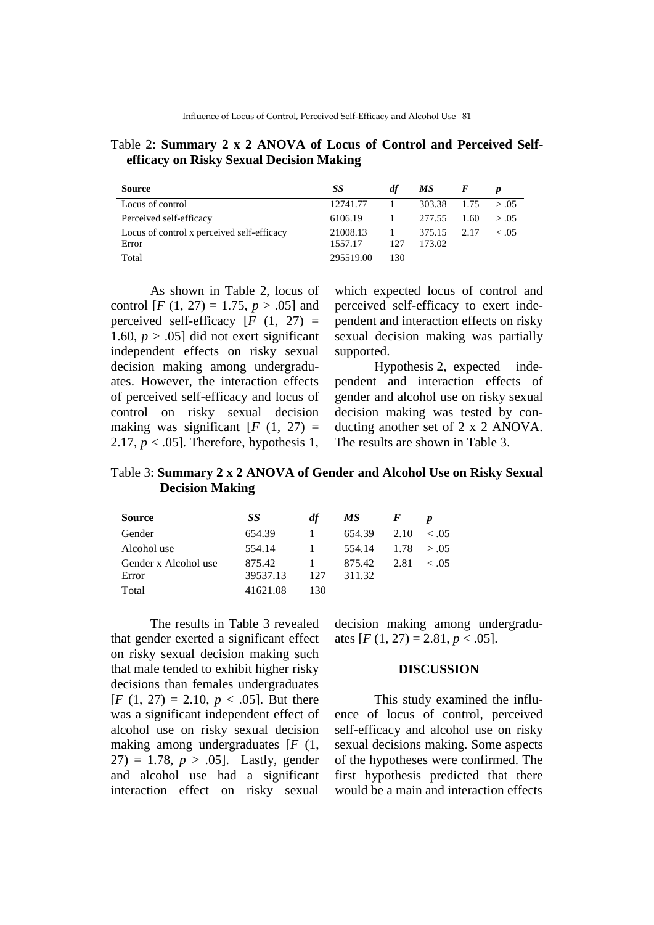Table 2: **Summary 2 x 2 ANOVA of Locus of Control and Perceived Selfefficacy on Risky Sexual Decision Making**

| <b>Source</b>                              | SS        | df   | МS     |      | D      |
|--------------------------------------------|-----------|------|--------|------|--------|
| Locus of control                           | 12741.77  |      | 303.38 | 1.75 | > 0.05 |
| Perceived self-efficacy                    | 6106.19   |      | 277.55 | 1.60 | > 0.05 |
| Locus of control x perceived self-efficacy | 21008.13  |      | 375.15 | 2.17 | ~<~05  |
| Error                                      | 1557.17   | 12.7 | 173.02 |      |        |
| Total                                      | 295519.00 | 130  |        |      |        |

As shown in Table 2, locus of control [*F* (1, 27) = 1.75,  $p > .05$ ] and perceived self-efficacy  $[F (1, 27) =$ 1.60,  $p > .05$ ] did not exert significant independent effects on risky sexual decision making among undergraduates. However, the interaction effects of perceived self-efficacy and locus of control on risky sexual decision making was significant  $[F (1, 27) =$ 2.17,  $p < .05$ ]. Therefore, hypothesis 1,

which expected locus of control and perceived self-efficacy to exert independent and interaction effects on risky sexual decision making was partially supported.

Hypothesis 2, expected independent and interaction effects of gender and alcohol use on risky sexual decision making was tested by conducting another set of 2 x 2 ANOVA. The results are shown in Table 3.

Table 3: **Summary 2 x 2 ANOVA of Gender and Alcohol Use on Risky Sexual Decision Making**

| <b>Source</b>        | SS       | df  | МS     |      |               |
|----------------------|----------|-----|--------|------|---------------|
| Gender               | 654.39   |     | 654.39 | 2.10 | $\epsilon$ 05 |
| Alcohol use          | 554.14   |     | 554.14 |      | 1.78 > 0.05   |
| Gender x Alcohol use | 875.42   |     | 875.42 | 2.81 | < 0.5         |
| Error                | 39537.13 | 127 | 311.32 |      |               |
| Total                | 41621.08 | 130 |        |      |               |

The results in Table 3 revealed that gender exerted a significant effect on risky sexual decision making such that male tended to exhibit higher risky decisions than females undergraduates  $[F (1, 27) = 2.10, p < .05]$ . But there was a significant independent effect of alcohol use on risky sexual decision making among undergraduates [*F* (1, 27) = 1.78,  $p > .05$ ]. Lastly, gender and alcohol use had a significant interaction effect on risky sexual

decision making among undergraduates  $[F(1, 27) = 2.81, p < .05]$ .

## **DISCUSSION**

This study examined the influence of locus of control, perceived self-efficacy and alcohol use on risky sexual decisions making. Some aspects of the hypotheses were confirmed. The first hypothesis predicted that there would be a main and interaction effects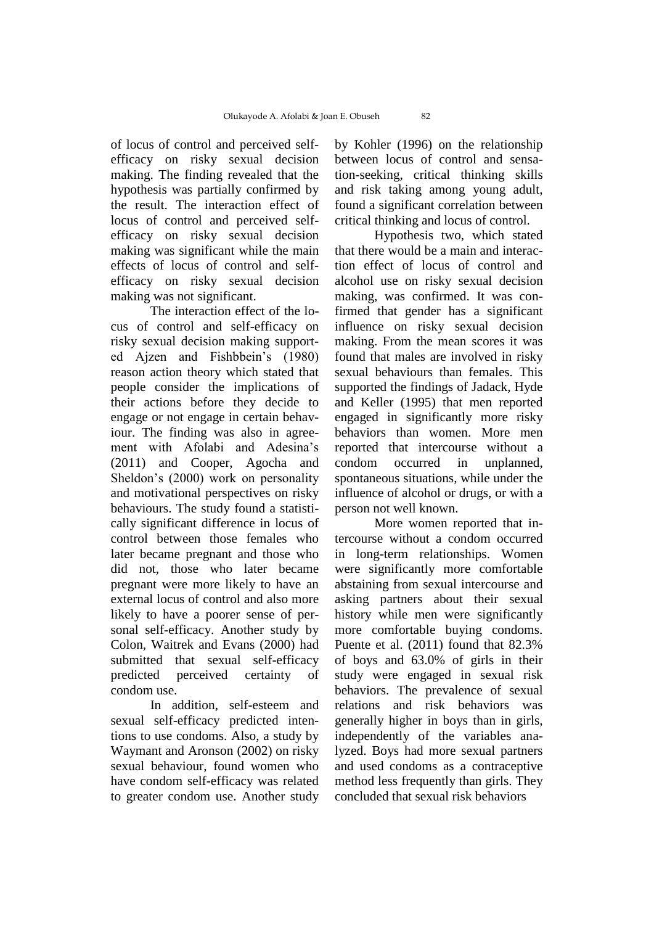of locus of control and perceived selfefficacy on risky sexual decision making. The finding revealed that the hypothesis was partially confirmed by the result. The interaction effect of locus of control and perceived selfefficacy on risky sexual decision making was significant while the main effects of locus of control and selfefficacy on risky sexual decision making was not significant.

The interaction effect of the locus of control and self-efficacy on risky sexual decision making supported Ajzen and Fishbbein's (1980) reason action theory which stated that people consider the implications of their actions before they decide to engage or not engage in certain behaviour. The finding was also in agreement with Afolabi and Adesina's (2011) and Cooper, Agocha and Sheldon's (2000) work on personality and motivational perspectives on risky behaviours. The study found a statistically significant difference in locus of control between those females who later became pregnant and those who did not, those who later became pregnant were more likely to have an external locus of control and also more likely to have a poorer sense of personal self-efficacy. Another study by Colon, Waitrek and Evans (2000) had submitted that sexual self-efficacy predicted perceived certainty of condom use.

In addition, self-esteem and sexual self-efficacy predicted intentions to use condoms. Also, a study by Waymant and Aronson (2002) on risky sexual behaviour, found women who have condom self-efficacy was related to greater condom use. Another study

by Kohler (1996) on the relationship between locus of control and sensation-seeking, critical thinking skills and risk taking among young adult, found a significant correlation between critical thinking and locus of control.

Hypothesis two, which stated that there would be a main and interaction effect of locus of control and alcohol use on risky sexual decision making, was confirmed. It was confirmed that gender has a significant influence on risky sexual decision making. From the mean scores it was found that males are involved in risky sexual behaviours than females. This supported the findings of Jadack, Hyde and Keller (1995) that men reported engaged in significantly more risky behaviors than women. More men reported that intercourse without a condom occurred in unplanned, spontaneous situations, while under the influence of alcohol or drugs, or with a person not well known.

More women reported that intercourse without a condom occurred in long-term relationships. Women were significantly more comfortable abstaining from sexual intercourse and asking partners about their sexual history while men were significantly more comfortable buying condoms. Puente et al. (2011) found that 82.3% of boys and 63.0% of girls in their study were engaged in sexual risk behaviors. The prevalence of sexual relations and risk behaviors was generally higher in boys than in girls, independently of the variables analyzed. Boys had more sexual partners and used condoms as a contraceptive method less frequently than girls. They concluded that sexual risk behaviors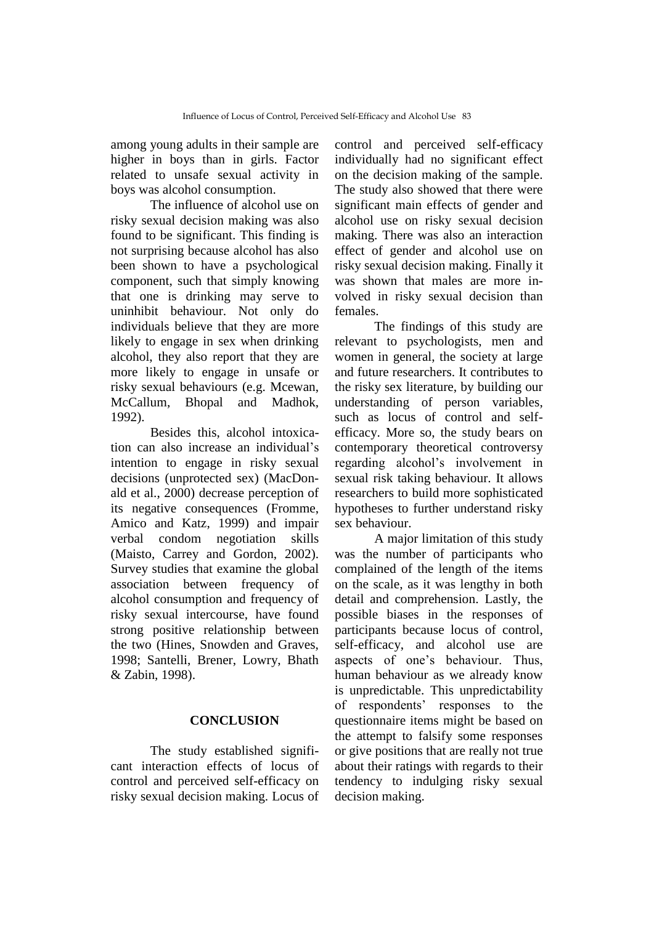among young adults in their sample are higher in boys than in girls. Factor related to unsafe sexual activity in boys was alcohol consumption.

The influence of alcohol use on risky sexual decision making was also found to be significant. This finding is not surprising because alcohol has also been shown to have a psychological component, such that simply knowing that one is drinking may serve to uninhibit behaviour. Not only do individuals believe that they are more likely to engage in sex when drinking alcohol, they also report that they are more likely to engage in unsafe or risky sexual behaviours (e.g. Mcewan, McCallum, Bhopal and Madhok, 1992).

Besides this, alcohol intoxication can also increase an individual's intention to engage in risky sexual decisions (unprotected sex) (MacDonald et al., 2000) decrease perception of its negative consequences (Fromme, Amico and Katz, 1999) and impair verbal condom negotiation skills (Maisto, Carrey and Gordon, 2002). Survey studies that examine the global association between frequency of alcohol consumption and frequency of risky sexual intercourse, have found strong positive relationship between the two (Hines, Snowden and Graves, 1998; Santelli, Brener, Lowry, Bhath & Zabin, 1998).

## **CONCLUSION**

The study established significant interaction effects of locus of control and perceived self-efficacy on risky sexual decision making. Locus of control and perceived self-efficacy individually had no significant effect on the decision making of the sample. The study also showed that there were significant main effects of gender and alcohol use on risky sexual decision making. There was also an interaction effect of gender and alcohol use on risky sexual decision making. Finally it was shown that males are more involved in risky sexual decision than females.

The findings of this study are relevant to psychologists, men and women in general, the society at large and future researchers. It contributes to the risky sex literature, by building our understanding of person variables, such as locus of control and selfefficacy. More so, the study bears on contemporary theoretical controversy regarding alcohol's involvement in sexual risk taking behaviour. It allows researchers to build more sophisticated hypotheses to further understand risky sex behaviour.

A major limitation of this study was the number of participants who complained of the length of the items on the scale, as it was lengthy in both detail and comprehension. Lastly, the possible biases in the responses of participants because locus of control, self-efficacy, and alcohol use are aspects of one's behaviour. Thus, human behaviour as we already know is unpredictable. This unpredictability of respondents' responses to the questionnaire items might be based on the attempt to falsify some responses or give positions that are really not true about their ratings with regards to their tendency to indulging risky sexual decision making.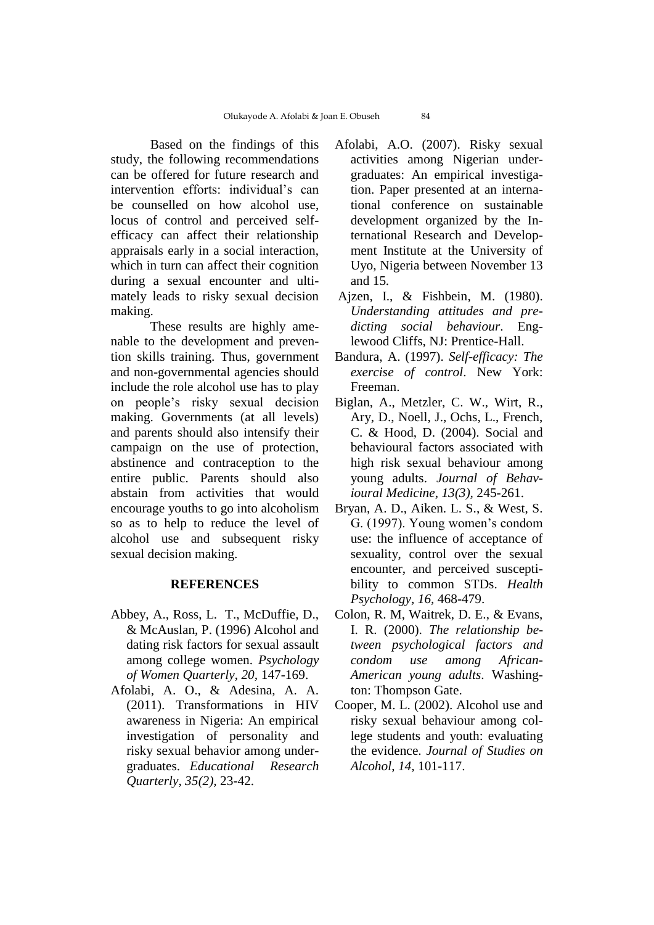Based on the findings of this study, the following recommendations can be offered for future research and intervention efforts: individual's can be counselled on how alcohol use, locus of control and perceived selfefficacy can affect their relationship appraisals early in a social interaction, which in turn can affect their cognition during a sexual encounter and ultimately leads to risky sexual decision making.

These results are highly amenable to the development and prevention skills training. Thus, government and non-governmental agencies should include the role alcohol use has to play on people's risky sexual decision making. Governments (at all levels) and parents should also intensify their campaign on the use of protection, abstinence and contraception to the entire public. Parents should also abstain from activities that would encourage youths to go into alcoholism so as to help to reduce the level of alcohol use and subsequent risky sexual decision making.

# **REFERENCES**

- Abbey, A., Ross, L. T., McDuffie, D., & McAuslan, P. (1996) Alcohol and dating risk factors for sexual assault among college women. *Psychology of Women Quarterly*, *20,* 147-169.
- Afolabi, A. O., & Adesina, A. A. (2011). Transformations in HIV awareness in Nigeria: An empirical investigation of personality and risky sexual behavior among undergraduates. *Educational Research Quarterly*, *35(2),* 23-42.
- Afolabi, A.O. (2007). Risky sexual activities among Nigerian undergraduates: An empirical investigation. Paper presented at an international conference on sustainable development organized by the International Research and Development Institute at the University of Uyo, Nigeria between November 13 and 15*.*
- Ajzen, I., & Fishbein, M. (1980). *Understanding attitudes and predicting social behaviour*. Englewood Cliffs, NJ: Prentice-Hall.
- Bandura, A. (1997). *Self-efficacy: The exercise of control*. New York: Freeman.
- Biglan, A., Metzler, C. W., Wirt, R., Ary, D., Noell, J., Ochs, L., French, C. & Hood, D. (2004). Social and behavioural factors associated with high risk sexual behaviour among young adults. *Journal of Behavioural Medicine*, *13(3),* 245-261.
- Bryan, A. D., Aiken. L. S., & West, S. G. (1997). Young women's condom use: the influence of acceptance of sexuality, control over the sexual encounter, and perceived susceptibility to common STDs. *Health Psychology*, *16,* 468-479.
- Colon, R. M, Waitrek, D. E., & Evans, I. R. (2000). *The relationship between psychological factors and condom use among African-American young adults*. Washington: Thompson Gate.
- Cooper, M. L. (2002). Alcohol use and risky sexual behaviour among college students and youth: evaluating the evidence. *Journal of Studies on Alcohol*, *14,* 101-117.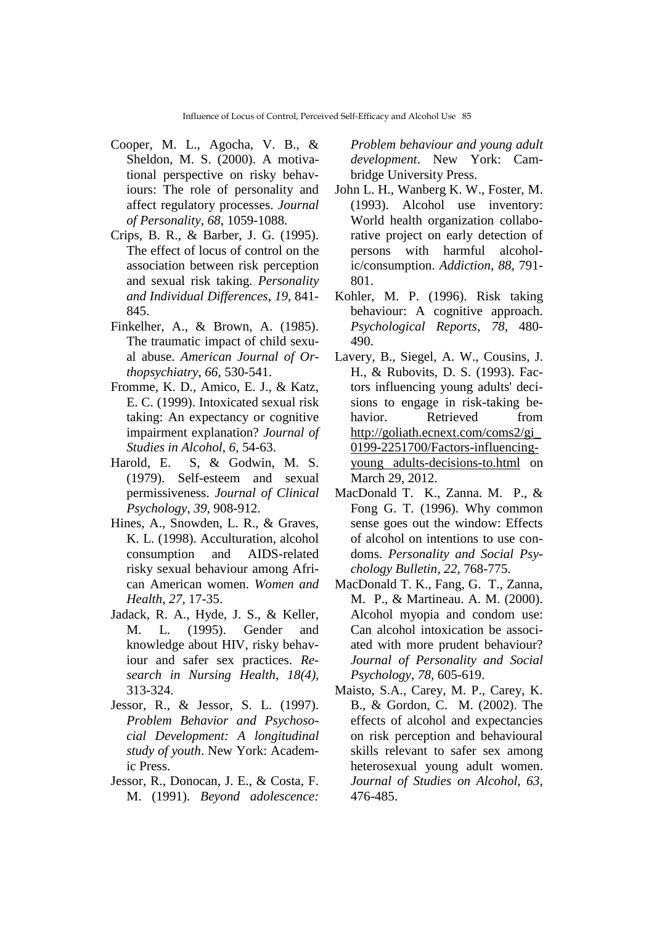- Cooper, M. L., Agocha, V. B., & Sheldon, M. S. (2000). A motivational perspective on risky behaviours: The role of personality and affect regulatory processes. *Journal of Personality*, *68*, 1059-1088.
- Crips, B. R., & Barber, J. G. (1995). The effect of locus of control on the association between risk perception and sexual risk taking. *Personality and Individual Differences*, *19,* 841- 845.
- Finkelher, A., & Brown, A. (1985). The traumatic impact of child sexual abuse. *American Journal of Orthopsychiatry*, *66,* 530-541.
- Fromme, K. D., Amico, E. J., & Katz, E. C. (1999). Intoxicated sexual risk taking: An expectancy or cognitive impairment explanation? *Journal of Studies in Alcohol*, *6,* 54-63.
- Harold, E. S, & Godwin, M. S. (1979). Self-esteem and sexual permissiveness. *Journal of Clinical Psychology*, *39,* 908-912.
- Hines, A., Snowden, L. R., & Graves, K. L. (1998). Acculturation, alcohol consumption and AIDS-related risky sexual behaviour among African American women. *Women and Health*, *27,* 17-35.
- Jadack, R. A., Hyde, J. S., & Keller, M. L. (1995). Gender and knowledge about HIV, risky behaviour and safer sex practices. *Research in Nursing Health*, *18(4),* 313-324.
- Jessor, R., & Jessor, S. L. (1997). *Problem Behavior and Psychosocial Development: A longitudinal study of youth*. New York: Academic Press.
- Jessor, R., Donocan, J. E., & Costa, F. M. (1991). *Beyond adolescence:*

*Problem behaviour and young adult development*. New York: Cambridge University Press.

- John L. H., Wanberg K. W., Foster, M. (1993). Alcohol use inventory: World health organization collaborative project on early detection of persons with harmful alcoholic/consumption. *Addiction*, *88,* 791- 801.
- Kohler, M. P. (1996). Risk taking behaviour: A cognitive approach. *Psychological Reports*, *78,* 480- 490.
- Lavery, B., Siegel, A. W., Cousins, J. H., & Rubovits, D. S. (1993). Factors influencing young adults' decisions to engage in risk-taking behavior. Retrieved from [http://goliath.ecnext.com/coms2/gi\\_](http://goliath.ecnext.com/coms2/gi_0199-2251700/Factors-influencing-young%20adults-decisions-to.html) [0199-2251700/Factors-influencing](http://goliath.ecnext.com/coms2/gi_0199-2251700/Factors-influencing-young%20adults-decisions-to.html)[young adults-decisions-to.html](http://goliath.ecnext.com/coms2/gi_0199-2251700/Factors-influencing-young%20adults-decisions-to.html) on March 29, 2012.
- MacDonald T. K., Zanna. M. P., & Fong G. T. (1996). Why common sense goes out the window: Effects of alcohol on intentions to use condoms. *Personality and Social Psychology Bulletin*, *22,* 768-775.
- MacDonald T. K., Fang, G. T., Zanna, M. P., & Martineau. A. M. (2000). Alcohol myopia and condom use: Can alcohol intoxication be associated with more prudent behaviour? *Journal of Personality and Social Psychology*, *78,* 605-619.
- Maisto, S.A., Carey, M. P., Carey, K. B., & Gordon, C. M. (2002). The effects of alcohol and expectancies on risk perception and behavioural skills relevant to safer sex among heterosexual young adult women. *Journal of Studies on Alcohol, 63,* 476-485.